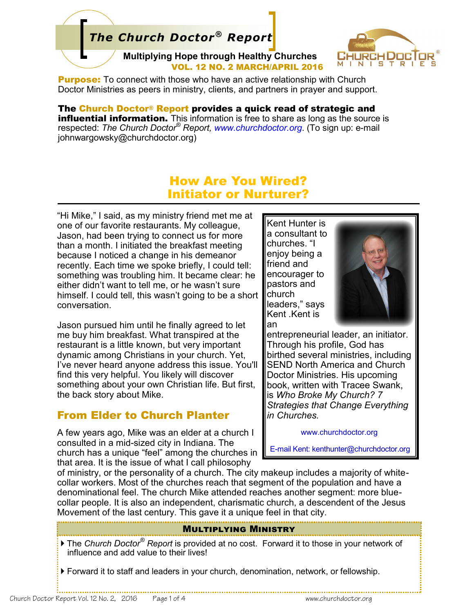# *The Church Doctor® Report*

**Multiplying Hope through Healthy Churches**  VOL. 12 NO. 2 MARCH/APRIL 2016



**Purpose:** To connect with those who have an active relationship with Church Doctor Ministries as peers in ministry, clients, and partners in prayer and support.

The Church Doctor® Report provides a quick read of strategic and **influential information.** This information is free to share as long as the source is respected: *The Church Doctor® Report, www.churchdoctor.org*. (To sign up: e-mail johnwargowsky@churchdoctor.org)

## How Are You Wired? Initiator or Nurturer?

"Hi Mike," I said, as my ministry friend met me at one of our favorite restaurants. My colleague, Jason, had been trying to connect us for more than a month. I initiated the breakfast meeting because I noticed a change in his demeanor recently. Each time we spoke briefly, I could tell: something was troubling him. It became clear: he either didn't want to tell me, or he wasn't sure himself. I could tell, this wasn't going to be a short conversation.

Jason pursued him until he finally agreed to let me buy him breakfast. What transpired at the restaurant is a little known, but very important dynamic among Christians in your church. Yet, I've never heard anyone address this issue. You'll find this very helpful. You likely will discover something about your own Christian life. But first, the back story about Mike.

#### From Elder to Church Planter

A few years ago, Mike was an elder at a church I consulted in a mid-sized city in Indiana. The church has a unique "feel" among the churches in that area. It is the issue of what I call philosophy

Kent Hunter is a consultant to churches. "I enjoy being a friend and encourager to pastors and church leaders," says Kent .Kent is an



entrepreneurial leader, an initiator. Through his profile, God has birthed several ministries, including SEND North America and Church Doctor Ministries. His upcoming book, written with Tracee Swank, is *Who Broke My Church? 7 Strategies that Change Everything in Churches.*

www.churchdoctor.org

E-mail Kent: kenthunter@churchdoctor.org

of ministry, or the personality of a church. The city makeup includes a majority of whitecollar workers. Most of the churches reach that segment of the population and have a denominational feel. The church Mike attended reaches another segment: more bluecollar people. It is also an independent, charismatic church, a descendent of the Jesus Movement of the last century. This gave it a unique feel in that city.

#### Multiplying Ministry

 The *Church Doctor® Report* is provided at no cost. Forward it to those in your network of influence and add value to their lives!

Forward it to staff and leaders in your church, denomination, network, or fellowship.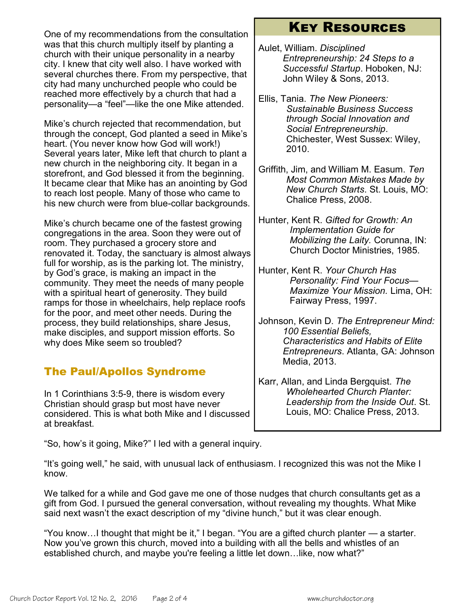One of my recommendations from the consultation was that this church multiply itself by planting a church with their unique personality in a nearby city. I knew that city well also. I have worked with several churches there. From my perspective, that city had many unchurched people who could be reached more effectively by a church that had a personality—a "feel"—like the one Mike attended.

Mike's church rejected that recommendation, but through the concept, God planted a seed in Mike's heart. (You never know how God will work!) Several years later, Mike left that church to plant a new church in the neighboring city. It began in a storefront, and God blessed it from the beginning. It became clear that Mike has an anointing by God to reach lost people. Many of those who came to his new church were from blue-collar backgrounds.

Mike's church became one of the fastest growing congregations in the area. Soon they were out of room. They purchased a grocery store and renovated it. Today, the sanctuary is almost always full for worship, as is the parking lot. The ministry, by God's grace, is making an impact in the community. They meet the needs of many people with a spiritual heart of generosity. They build ramps for those in wheelchairs, help replace roofs for the poor, and meet other needs. During the process, they build relationships, share Jesus, make disciples, and support mission efforts. So why does Mike seem so troubled?

## The Paul/Apollos Syndrome

In 1 Corinthians 3:5-9, there is wisdom every Christian should grasp but most have never considered. This is what both Mike and I discussed at breakfast.

## Key Resources

- Aulet, William. *Disciplined Entrepreneurship: 24 Steps to a Successful Startup*. Hoboken, NJ: John Wiley & Sons, 2013.
- Ellis, Tania. *The New Pioneers: Sustainable Business Success through Social Innovation and Social Entrepreneurship*. Chichester, West Sussex: Wiley, 2010.
- Griffith, Jim, and William M. Easum. *Ten Most Common Mistakes Made by New Church Starts*. St. Louis, MO: Chalice Press, 2008.
- Hunter, Kent R. *Gifted for Growth: An Implementation Guide for Mobilizing the Laity.* Corunna, IN: Church Doctor Ministries, 1985.
- Hunter, Kent R. *Your Church Has Personality: Find Your Focus— Maximize Your Mission.* Lima, OH: Fairway Press, 1997.
- Johnson, Kevin D. *The Entrepreneur Mind: 100 Essential Beliefs, Characteristics and Habits of Elite Entrepreneurs*. Atlanta, GA: Johnson Media, 2013.
- Karr, Allan, and Linda Bergquist. *The Wholehearted Church Planter: Leadership from the Inside Out*. St. Louis, MO: Chalice Press, 2013.

"So, how's it going, Mike?" I led with a general inquiry.

"It's going well," he said, with unusual lack of enthusiasm. I recognized this was not the Mike I know.

We talked for a while and God gave me one of those nudges that church consultants get as a gift from God. I pursued the general conversation, without revealing my thoughts. What Mike said next wasn't the exact description of my "divine hunch," but it was clear enough.

"You know…I thought that might be it," I began. "You are a gifted church planter — a starter. Now you've grown this church, moved into a building with all the bells and whistles of an established church, and maybe you're feeling a little let down…like, now what?"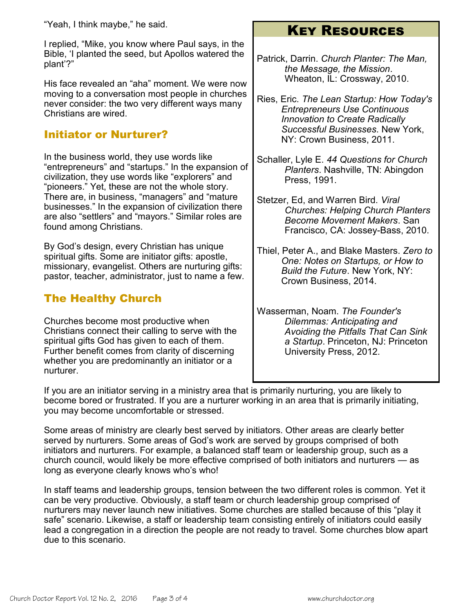I replied, "Mike, you know where Paul says, in the Bible, 'I planted the seed, but Apollos watered the plant'?"

His face revealed an "aha" moment. We were now moving to a conversation most people in churches never consider: the two very different ways many Christians are wired.

#### Initiator or Nurturer?

In the business world, they use words like "entrepreneurs" and "startups." In the expansion of civilization, they use words like "explorers" and "pioneers." Yet, these are not the whole story. There are, in business, "managers" and "mature businesses." In the expansion of civilization there are also "settlers" and "mayors." Similar roles are found among Christians.

By God's design, every Christian has unique spiritual gifts. Some are initiator gifts: apostle, missionary, evangelist. Others are nurturing gifts: pastor, teacher, administrator, just to name a few.

## The Healthy Church

Churches become most productive when Christians connect their calling to serve with the spiritual gifts God has given to each of them. Further benefit comes from clarity of discerning whether you are predominantly an initiator or a nurturer.

# Key Resources

- Patrick, Darrin. *Church Planter: The Man, the Message, the Mission*. Wheaton, IL: Crossway, 2010.
- Ries, Eric. *The Lean Startup: How Today's Entrepreneurs Use Continuous Innovation to Create Radically Successful Businesses*. New York, NY: Crown Business, 2011.
- Schaller, Lyle E. *44 Questions for Church Planters*. Nashville, TN: Abingdon Press, 1991.
- Stetzer, Ed, and Warren Bird. *Viral Churches: Helping Church Planters Become Movement Makers*. San Francisco, CA: Jossey-Bass, 2010.
- Thiel, Peter A., and Blake Masters. *Zero to One: Notes on Startups, or How to Build the Future*. New York, NY: Crown Business, 2014.
- Wasserman, Noam. *The Founder's Dilemmas: Anticipating and Avoiding the Pitfalls That Can Sink a Startup*. Princeton, NJ: Princeton University Press, 2012.

If you are an initiator serving in a ministry area that is primarily nurturing, you are likely to become bored or frustrated. If you are a nurturer working in an area that is primarily initiating, you may become uncomfortable or stressed.

Some areas of ministry are clearly best served by initiators. Other areas are clearly better served by nurturers. Some areas of God's work are served by groups comprised of both initiators and nurturers. For example, a balanced staff team or leadership group, such as a church council, would likely be more effective comprised of both initiators and nurturers — as long as everyone clearly knows who's who!

In staff teams and leadership groups, tension between the two different roles is common. Yet it can be very productive. Obviously, a staff team or church leadership group comprised of nurturers may never launch new initiatives. Some churches are stalled because of this "play it safe" scenario. Likewise, a staff or leadership team consisting entirely of initiators could easily lead a congregation in a direction the people are not ready to travel. Some churches blow apart due to this scenario.